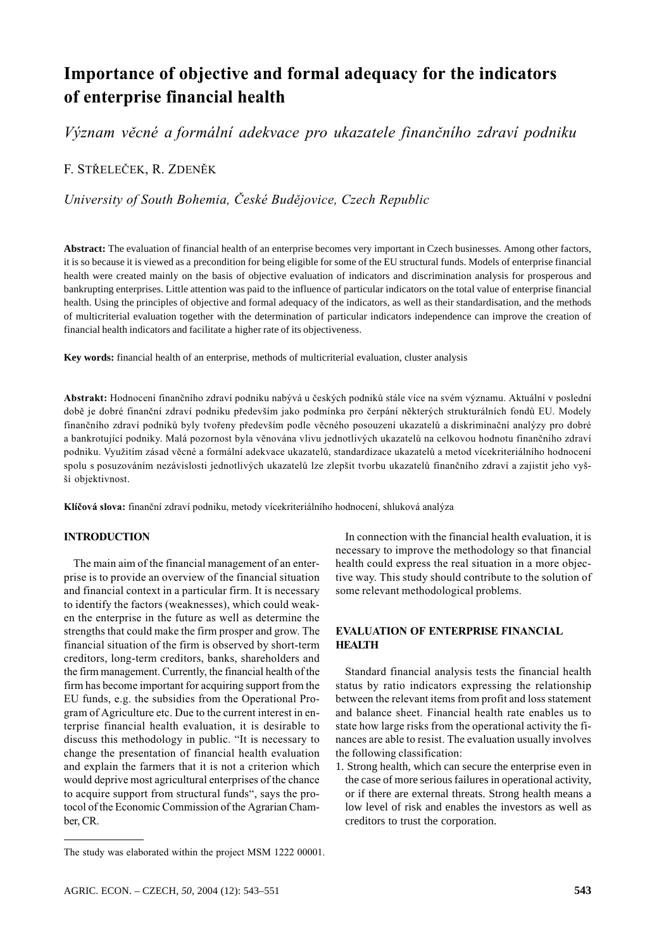# Importance of objective and formal adequacy for the indicators of enterprise financial health

# Význam věcné a formální adekvace pro ukazatele finančního zdraví podniku

F. STŘELEČEK, R. ZDENĚK

University of South Bohemia, České Budějovice, Czech Republic

**Abstract:** The evaluation of financial health of an enterprise becomes very important in Czech businesses. Among other factors, it is so because it is viewed as a precondition for being eligible for some of the EU structural funds. Models of enterprise financial health were created mainly on the basis of objective evaluation of indicators and discrimination analysis for prosperous and bankrupting enterprises. Little attention was paid to the influence of particular indicators on the total value of enterprise financial health. Using the principles of objective and formal adequacy of the indicators, as well as their standardisation, and the methods of multicriterial evaluation together with the determination of particular indicators independence can improve the creation of financial health indicators and facilitate a higher rate of its objectiveness.

**Key words:** financial health of an enterprise, methods of multicriterial evaluation, cluster analysis

Abstrakt: Hodnocení finančního zdraví podniku nabývá u českých podniků stále více na svém významu. Aktuální v poslední době je dobré finanční zdraví podniku především jako podmínka pro čerpání některých strukturálních fondů EU. Modely finančního zdraví podniků byly tvořeny především podle věcného posouzení ukazatelů a diskriminační analýzy pro dobré a bankrotující podniky. Malá pozornost byla věnována vlivu jednotlivých ukazatelů na celkovou hodnotu finančního zdraví podniku. Využitím zásad věcné a formální adekvace ukazatelů, standardizace ukazatelů a metod vícekriteriálního hodnocení spolu s posuzováním nezávislosti jednotlivých ukazatelů lze zlepšit tvorbu ukazatelů finančního zdraví a zajistit jeho vyšší objektivnost.

Klíčová slova: finanční zdraví podniku, metody vícekriteriálního hodnocení, shluková analýza

# **INTRODUCTION**

The main aim of the financial management of an enterprise is to provide an overview of the financial situation and financial context in a particular firm. It is necessary to identify the factors (weaknesses), which could weaken the enterprise in the future as well as determine the strengths that could make the firm prosper and grow. The financial situation of the firm is observed by short-term creditors, long-term creditors, banks, shareholders and the firm management. Currently, the financial health of the firm has become important for acquiring support from the EU funds, e.g. the subsidies from the Operational Program of Agriculture etc. Due to the current interest in enterprise financial health evaluation, it is desirable to discuss this methodology in public. "It is necessary to change the presentation of financial health evaluation and explain the farmers that it is not a criterion which would deprive most agricultural enterprises of the chance to acquire support from structural funds", says the protocol of the Economic Commission of the Agrarian Chamber, CR.

In connection with the financial health evaluation, it is necessary to improve the methodology so that financial health could express the real situation in a more objective way. This study should contribute to the solution of some relevant methodological problems.

# EVALUATION OF ENTERPRISE FINANCIAL **HEALTH**

Standard financial analysis tests the financial health status by ratio indicators expressing the relationship between the relevant items from profit and loss statement and balance sheet. Financial health rate enables us to state how large risks from the operational activity the finances are able to resist. The evaluation usually involves the following classification:

1. Strong health, which can secure the enterprise even in the case of more serious failures in operational activity, or if there are external threats. Strong health means a low level of risk and enables the investors as well as creditors to trust the corporation.

The study was elaborated within the project MSM 1222 00001.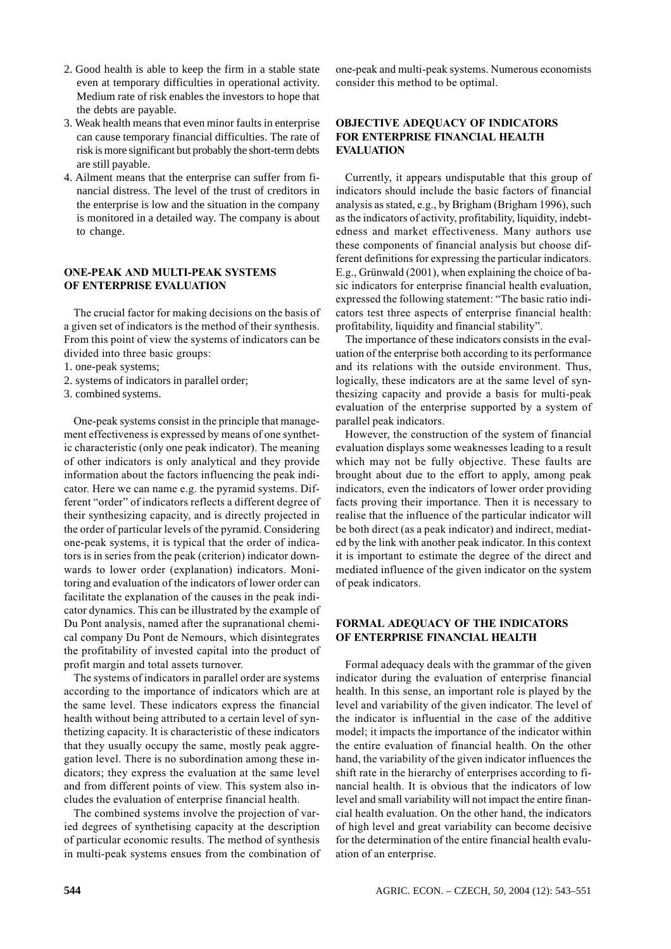- 2. Good health is able to keep the firm in a stable state even at temporary difficulties in operational activity. Medium rate of risk enables the investors to hope that the debts are payable.
- 3. Weak health means that even minor faults in enterprise can cause temporary financial difficulties. The rate of risk is more significant but probably the short-term debts are still payable.
- 4. Ailment means that the enterprise can suffer from financial distress. The level of the trust of creditors in the enterprise is low and the situation in the company is monitored in a detailed way. The company is about to change.

#### **ONE-PEAK AND MULTI-PEAK SYSTEMS** OF ENTERPRISE EVALUATION

The crucial factor for making decisions on the basis of a given set of indicators is the method of their synthesis. From this point of view the systems of indicators can be divided into three basic groups:

- 1. one-peak systems:
- 2. systems of indicators in parallel order:
- 3. combined systems.

One-peak systems consist in the principle that management effectiveness is expressed by means of one synthetic characteristic (only one peak indicator). The meaning of other indicators is only analytical and they provide information about the factors influencing the peak indicator. Here we can name e.g. the pyramid systems. Different "order" of indicators reflects a different degree of their synthesizing capacity, and is directly projected in the order of particular levels of the pyramid. Considering one-peak systems, it is typical that the order of indicators is in series from the peak (criterion) indicator downwards to lower order (explanation) indicators. Monitoring and evaluation of the indicators of lower order can facilitate the explanation of the causes in the peak indicator dynamics. This can be illustrated by the example of Du Pont analysis, named after the supranational chemical company Du Pont de Nemours, which disintegrates the profitability of invested capital into the product of profit margin and total assets turnover.

The systems of indicators in parallel order are systems according to the importance of indicators which are at the same level. These indicators express the financial health without being attributed to a certain level of synthetizing capacity. It is characteristic of these indicators that they usually occupy the same, mostly peak aggregation level. There is no subordination among these indicators; they express the evaluation at the same level and from different points of view. This system also includes the evaluation of enterprise financial health.

The combined systems involve the projection of varied degrees of synthetising capacity at the description of particular economic results. The method of synthesis in multi-peak systems ensues from the combination of one-peak and multi-peak systems. Numerous economists consider this method to be optimal.

## **OBJECTIVE ADEOUACY OF INDICATORS** FOR ENTERPRISE FINANCIAL HEALTH **EVALUATION**

Currently, it appears undisputable that this group of indicators should include the basic factors of financial analysis as stated, e.g., by Brigham (Brigham 1996), such as the indicators of activity, profitability, liquidity, indebtedness and market effectiveness. Many authors use these components of financial analysis but choose different definitions for expressing the particular indicators. E.g., Grünwald (2001), when explaining the choice of basic indicators for enterprise financial health evaluation. expressed the following statement: "The basic ratio indicators test three aspects of enterprise financial health: profitability, liquidity and financial stability".

The importance of these indicators consists in the evaluation of the enterprise both according to its performance and its relations with the outside environment. Thus, logically, these indicators are at the same level of synthesizing capacity and provide a basis for multi-peak evaluation of the enterprise supported by a system of parallel peak indicators.

However, the construction of the system of financial evaluation displays some weaknesses leading to a result which may not be fully objective. These faults are brought about due to the effort to apply, among peak indicators, even the indicators of lower order providing facts proving their importance. Then it is necessary to realise that the influence of the particular indicator will be both direct (as a peak indicator) and indirect, mediated by the link with another peak indicator. In this context it is important to estimate the degree of the direct and mediated influence of the given indicator on the system of peak indicators.

# **FORMAL ADEQUACY OF THE INDICATORS** OF ENTERPRISE FINANCIAL HEALTH

Formal adequacy deals with the grammar of the given indicator during the evaluation of enterprise financial health. In this sense, an important role is played by the level and variability of the given indicator. The level of the indicator is influential in the case of the additive model; it impacts the importance of the indicator within the entire evaluation of financial health. On the other hand, the variability of the given indicator influences the shift rate in the hierarchy of enterprises according to financial health. It is obvious that the indicators of low level and small variability will not impact the entire financial health evaluation. On the other hand, the indicators of high level and great variability can become decisive for the determination of the entire financial health evaluation of an enterprise.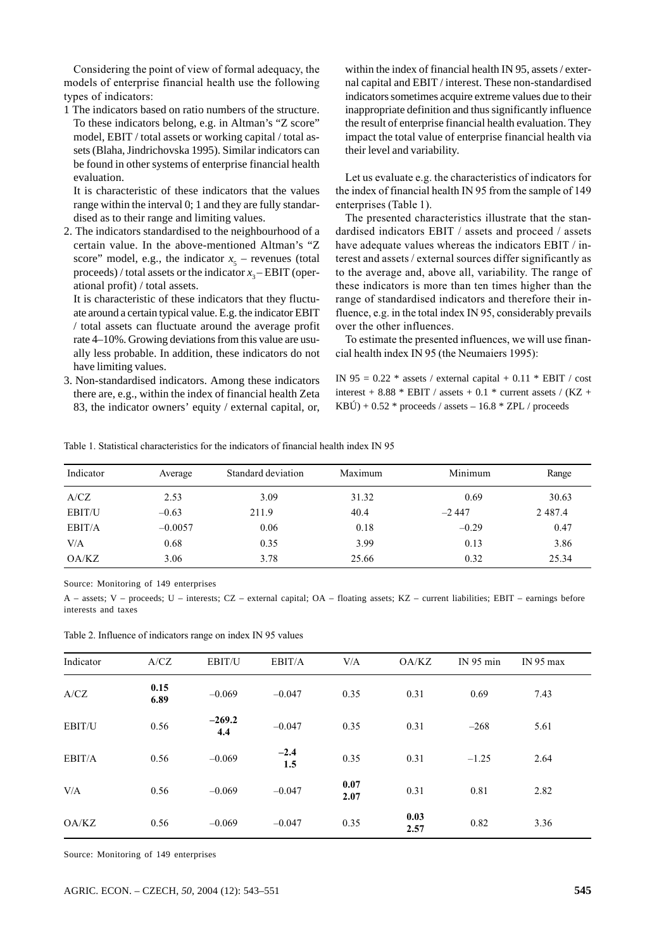Considering the point of view of formal adequacy, the models of enterprise financial health use the following types of indicators:

1 The indicators based on ratio numbers of the structure. To these indicators belong, e.g. in Altman's "Z score" model, EBIT / total assets or working capital / total assets (Blaha, Jindrichovska 1995). Similar indicators can be found in other systems of enterprise financial health evaluation.

It is characteristic of these indicators that the values range within the interval 0; 1 and they are fully standardised as to their range and limiting values.

2. The indicators standardised to the neighbourhood of a certain value. In the above-mentioned Altman's "Z score" model, e.g., the indicator  $x_5$  – revenues (total proceeds) / total assets or the indicator  $x<sub>3</sub>$  – EBIT (operational profit) / total assets.

It is characteristic of these indicators that they fluctuate around a certain typical value. E.g. the indicator EBIT / total assets can fluctuate around the average profit rate 4–10%. Growing deviations from this value are usually less probable. In addition, these indicators do not have limiting values.

3. Non-standardised indicators. Among these indicators there are, e.g., within the index of financial health Zeta 83, the indicator owners' equity / external capital, or, within the index of financial health IN 95, assets / external capital and EBIT / interest. These non-standardised indicators sometimes acquire extreme values due to their inappropriate definition and thus significantly influence the result of enterprise financial health evaluation. They impact the total value of enterprise financial health via their level and variability.

Let us evaluate e.g. the characteristics of indicators for the index of financial health IN 95 from the sample of 149 enterprises (Table 1).

The presented characteristics illustrate that the standardised indicators EBIT / assets and proceed / assets have adequate values whereas the indicators EBIT / interest and assets / external sources differ significantly as to the average and, above all, variability. The range of these indicators is more than ten times higher than the range of standardised indicators and therefore their influence, e.g. in the total index IN 95, considerably prevails over the other influences.

To estimate the presented influences, we will use financial health index IN 95 (the Neumaiers 1995):

IN 95 =  $0.22$  \* assets / external capital +  $0.11$  \* EBIT / cost interest + 8.88  $*$  EBIT / assets + 0.1  $*$  current assets / (KZ +  $KBU$ ) + 0.52  $*$  proceeds / assets – 16.8  $*$  ZPL / proceeds

Table 1. Statistical characteristics for the indicators of financial health index IN 95

| Indicator | Average   | Standard deviation | Maximum | Minimum | Range       |
|-----------|-----------|--------------------|---------|---------|-------------|
| A/CZ      | 2.53      | 3.09               | 31.32   | 0.69    | 30.63       |
| EBIT/U    | $-0.63$   | 211.9              | 40.4    | $-2447$ | 2 4 8 7 . 4 |
| EBIT/A    | $-0.0057$ | 0.06               | 0.18    | $-0.29$ | 0.47        |
| V/A       | 0.68      | 0.35               | 3.99    | 0.13    | 3.86        |
| OA/KZ     | 3.06      | 3.78               | 25.66   | 0.32    | 25.34       |

Source: Monitoring of 149 enterprises

A – assets; V – proceeds; U – interests; CZ – external capital; OA – floating assets; KZ – current liabilities; EBIT – earnings before interests and taxes

| Indicator | A/CZ         | EBIT/U          | EBIT/A        | V/A          | OA/KZ        | IN <sub>95</sub> min | IN $95 \text{ max}$ |
|-----------|--------------|-----------------|---------------|--------------|--------------|----------------------|---------------------|
| A/CZ      | 0.15<br>6.89 | $-0.069$        | $-0.047$      | 0.35         | 0.31         | 0.69                 | 7.43                |
| EBIT/U    | 0.56         | $-269.2$<br>4.4 | $-0.047$      | 0.35         | 0.31         | $-268$               | 5.61                |
| EBIT/A    | 0.56         | $-0.069$        | $-2.4$<br>1.5 | 0.35         | 0.31         | $-1.25$              | 2.64                |
| V/A       | 0.56         | $-0.069$        | $-0.047$      | 0.07<br>2.07 | 0.31         | 0.81                 | 2.82                |
| OA/KZ     | 0.56         | $-0.069$        | $-0.047$      | 0.35         | 0.03<br>2.57 | 0.82                 | 3.36                |

Table 2. Influence of indicators range on index IN 95 values

Source: Monitoring of 149 enterprises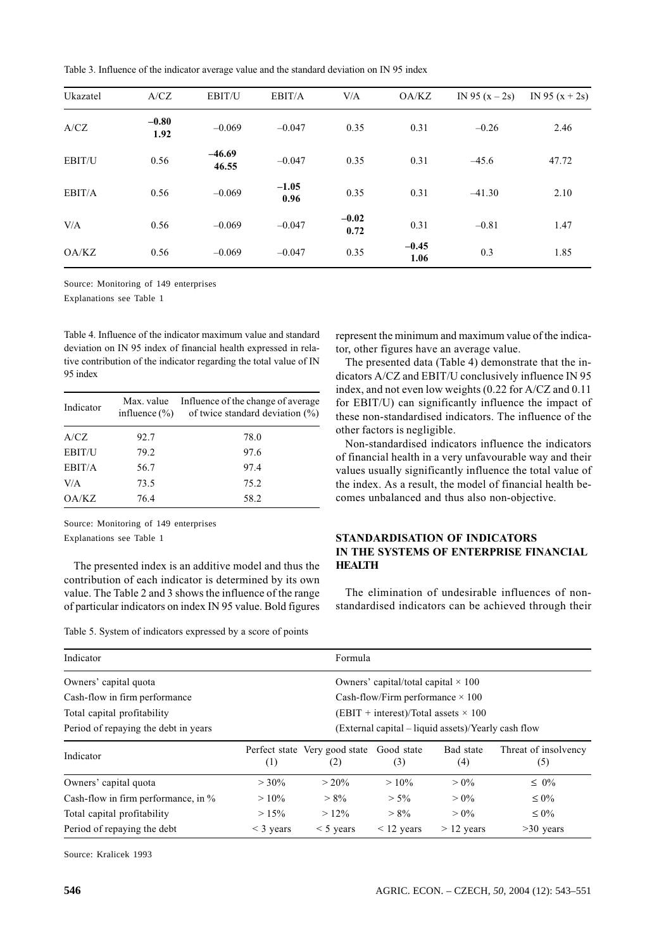Table 3. Influence of the indicator average value and the standard deviation on IN 95 index

| Ukazatel | A/CZ            | EBIT/U            | EBIT/A          | V/A             | OA/KZ           | IN 95 $(x - 2s)$ | IN 95 $(x + 2s)$ |
|----------|-----------------|-------------------|-----------------|-----------------|-----------------|------------------|------------------|
| A/CZ     | $-0.80$<br>1.92 | $-0.069$          | $-0.047$        | 0.35            | 0.31            | $-0.26$          | 2.46             |
| EBIT/U   | 0.56            | $-46.69$<br>46.55 | $-0.047$        | 0.35            | 0.31            | $-45.6$          | 47.72            |
| EBIT/A   | 0.56            | $-0.069$          | $-1.05$<br>0.96 | 0.35            | 0.31            | $-41.30$         | 2.10             |
| V/A      | 0.56            | $-0.069$          | $-0.047$        | $-0.02$<br>0.72 | 0.31            | $-0.81$          | 1.47             |
| OA/KZ    | 0.56            | $-0.069$          | $-0.047$        | 0.35            | $-0.45$<br>1.06 | 0.3              | 1.85             |

Source: Monitoring of 149 enterprises

Explanations see Table 1

Table 4. Influence of the indicator maximum value and standard deviation on IN 95 index of financial health expressed in relative contribution of the indicator regarding the total value of IN 95 index

| Indicator |      | Max. value Influence of the change of average<br>influence $(\%)$ of twice standard deviation $(\%)$ |
|-----------|------|------------------------------------------------------------------------------------------------------|
| A/CZ      | 92.7 | 78.0                                                                                                 |
| EBIT/U    | 79.2 | 97.6                                                                                                 |
| EBIT/A    | 56.7 | 97.4                                                                                                 |
| V/A       | 73.5 | 75.2                                                                                                 |
| OA/KZ     | 76.4 | 58.2                                                                                                 |

Source: Monitoring of 149 enterprises Explanations see Table 1

The presented index is an additive model and thus the contribution of each indicator is determined by its own value. The Table 2 and 3 shows the influence of the range of particular indicators on index IN 95 value. Bold figures

Table 5. System of indicators expressed by a score of points

represent the minimum and maximum value of the indicator, other figures have an average value.

The presented data (Table 4) demonstrate that the indicators A/CZ and EBIT/U conclusively influence IN 95 index, and not even low weights  $(0.22$  for  $A/CZ$  and  $0.11$ for EBIT/U) can significantly influence the impact of these non-standardised indicators. The influence of the other factors is negligible.

Non-standardised indicators influence the indicators of financial health in a very unfavourable way and their values usually significantly influence the total value of the index. As a result, the model of financial health becomes unbalanced and thus also non-objective.

# **STANDARDISATION OF INDICATORS** IN THE SYSTEMS OF ENTERPRISE FINANCIAL **HEALTH**

The elimination of undesirable influences of nonstandardised indicators can be achieved through their

| Indicator                              |                                         | Formula                                             |                                            |                  |                             |  |  |
|----------------------------------------|-----------------------------------------|-----------------------------------------------------|--------------------------------------------|------------------|-----------------------------|--|--|
| Owners' capital quota                  |                                         |                                                     | Owners' capital/total capital $\times$ 100 |                  |                             |  |  |
| Cash-flow in firm performance          | Cash-flow/Firm performance $\times$ 100 |                                                     |                                            |                  |                             |  |  |
| Total capital profitability            |                                         | $(EBIT + interest)/Total assets \times 100$         |                                            |                  |                             |  |  |
| Period of repaying the debt in years   |                                         | (External capital – liquid assets)/Yearly cash flow |                                            |                  |                             |  |  |
| Indicator                              | (1)                                     | Perfect state Very good state Good state<br>(2)     | (3)                                        | Bad state<br>(4) | Threat of insolvency<br>(5) |  |  |
| Owners' capital quota                  | $> 30\%$                                | $> 20\%$                                            | $>10\%$                                    | $> 0\%$          | $\leq 0\%$                  |  |  |
| Cash-flow in firm performance, in $\%$ | $>10\%$                                 | $> 8\%$                                             | $> 5\%$                                    | $> 0\%$          | $\leq 0\%$                  |  |  |
| Total capital profitability            | >15%                                    | $>12\%$                                             | $> 8\%$                                    | $> 0\%$          | $\leq 0\%$                  |  |  |
| Period of repaying the debt            | $<$ 3 years                             | $\leq$ 5 years                                      | $< 12$ years                               | $> 12$ years     | $>30$ years                 |  |  |

Source: Kralicek 1993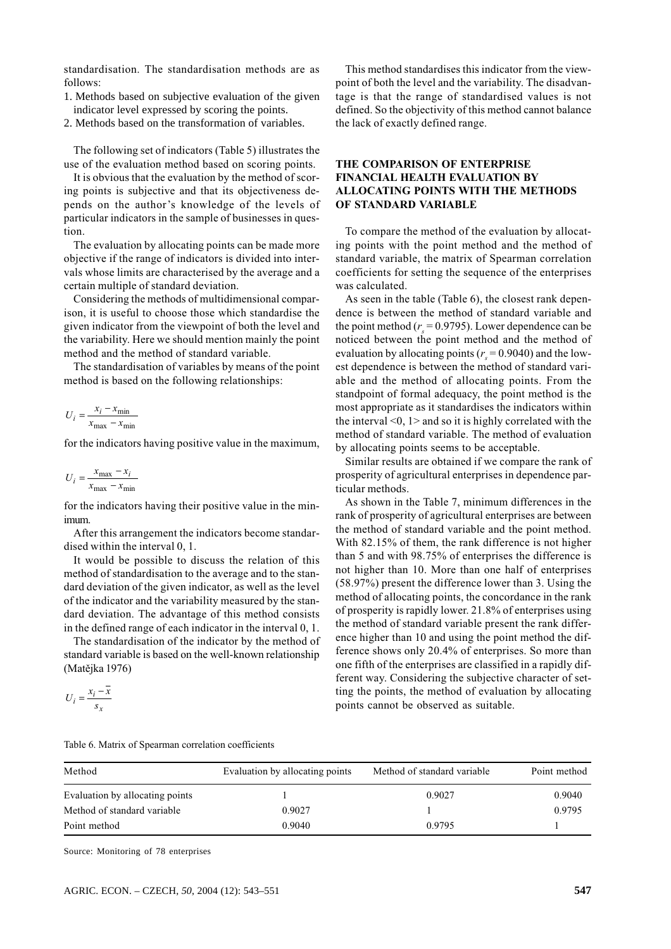standardisation. The standardisation methods are as follows:

- 1. Methods based on subjective evaluation of the given indicator level expressed by scoring the points.
- 2. Methods based on the transformation of variables.

The following set of indicators (Table 5) illustrates the use of the evaluation method based on scoring points.

It is obvious that the evaluation by the method of scoring points is subjective and that its objectiveness depends on the author's knowledge of the levels of particular indicators in the sample of businesses in question.

The evaluation by allocating points can be made more objective if the range of indicators is divided into intervals whose limits are characterised by the average and a certain multiple of standard deviation.

Considering the methods of multidimensional comparison, it is useful to choose those which standardise the given indicator from the viewpoint of both the level and the variability. Here we should mention mainly the point method and the method of standard variable.

The standardisation of variables by means of the point method is based on the following relationships:

$$
U_i = \frac{x_i - x_{\min}}{x_{\max} - x_{\min}}
$$

for the indicators having positive value in the maximum,

$$
U_i = \frac{x_{\text{max}} - x_i}{x_{\text{max}} - x_{\text{min}}}
$$

for the indicators having their positive value in the minimum.

After this arrangement the indicators become standardised within the interval 0, 1.

It would be possible to discuss the relation of this method of standardisation to the average and to the standard deviation of the given indicator, as well as the level of the indicator and the variability measured by the standard deviation. The advantage of this method consists in the defined range of each indicator in the interval 0, 1.

The standardisation of the indicator by the method of standard variable is based on the well-known relationship (Matějka 1976)

$$
U_i = \frac{x_i - \overline{x}}{s_x}
$$

This method standardises this indicator from the viewpoint of both the level and the variability. The disadvantage is that the range of standardised values is not defined. So the objectivity of this method cannot balance the lack of exactly defined range.

# THE COMPARISON OF ENTERPRISE FINANCIAL HEALTH EVALUATION BY ALLOCATING POINTS WITH THE METHODS OF STANDARD VARIABLE

To compare the method of the evaluation by allocating points with the point method and the method of standard variable, the matrix of Spearman correlation coefficients for setting the sequence of the enterprises was calculated.

As seen in the table (Table 6), the closest rank dependence is between the method of standard variable and the point method ( $r_s = 0.9795$ ). Lower dependence can be noticed between the point method and the method of evaluation by allocating points ( $r_s$  = 0.9040) and the lowest dependence is between the method of standard variable and the method of allocating points. From the standpoint of formal adequacy, the point method is the most appropriate as it standardises the indicators within the interval  $\leq 0$ , 1 and so it is highly correlated with the method of standard variable. The method of evaluation by allocating points seems to be acceptable.

Similar results are obtained if we compare the rank of prosperity of agricultural enterprises in dependence particular methods.

As shown in the Table 7, minimum differences in the rank of prosperity of agricultural enterprises are between the method of standard variable and the point method. With 82.15% of them, the rank difference is not higher than 5 and with 98.75% of enterprises the difference is not higher than 10. More than one half of enterprises (58.97%) present the difference lower than 3. Using the method of allocating points, the concordance in the rank of prosperity is rapidly lower. 21.8% of enterprises using the method of standard variable present the rank difference higher than 10 and using the point method the difference shows only 20.4% of enterprises. So more than one fifth of the enterprises are classified in a rapidly different way. Considering the subjective character of setting the points, the method of evaluation by allocating points cannot be observed as suitable.

| Table 6. Matrix of Spearman correlation coefficients |  |
|------------------------------------------------------|--|
|------------------------------------------------------|--|

| Method                          | Evaluation by allocating points | Method of standard variable | Point method |
|---------------------------------|---------------------------------|-----------------------------|--------------|
| Evaluation by allocating points |                                 | 0.9027                      | 0.9040       |
| Method of standard variable     | 0.9027                          |                             | 0.9795       |
| Point method                    | 0.9040                          | 0.9795                      |              |

Source: Monitoring of 78 enterprises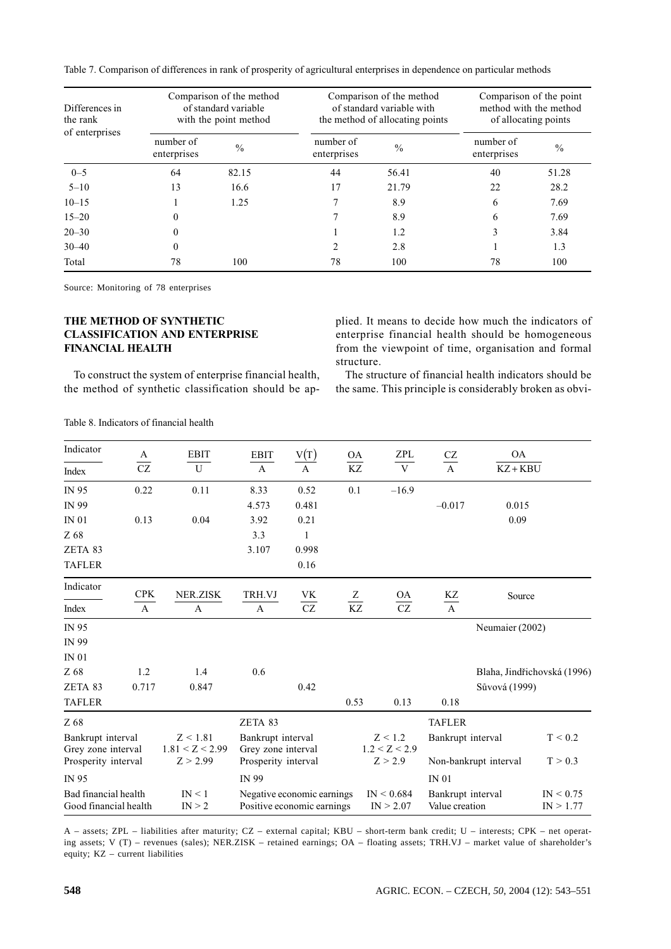Table 7. Comparison of differences in rank of prosperity of agricultural enterprises in dependence on particular methods

| Differences in<br>the rank                 |    | Comparison of the method<br>of standard variable<br>with the point method |                          | Comparison of the method<br>of standard variable with<br>the method of allocating points | Comparison of the point<br>method with the method<br>of allocating points |               |  |
|--------------------------------------------|----|---------------------------------------------------------------------------|--------------------------|------------------------------------------------------------------------------------------|---------------------------------------------------------------------------|---------------|--|
| of enterprises<br>number of<br>enterprises |    | $\%$                                                                      | number of<br>enterprises | $\%$                                                                                     | number of<br>enterprises                                                  | $\frac{0}{0}$ |  |
| $0 - 5$                                    | 64 | 82.15                                                                     | 44                       | 56.41                                                                                    | 40                                                                        | 51.28         |  |
| $5 - 10$                                   | 13 | 16.6                                                                      | 17                       | 21.79                                                                                    | 22                                                                        | 28.2          |  |
| $10 - 15$                                  |    | 1.25                                                                      | 7                        | 8.9                                                                                      | 6                                                                         | 7.69          |  |
| $15 - 20$                                  | 0  |                                                                           | 7                        | 8.9                                                                                      | 6                                                                         | 7.69          |  |
| $20 - 30$                                  | 0  |                                                                           |                          | 1.2                                                                                      | 3                                                                         | 3.84          |  |
| $30 - 40$                                  | 0  |                                                                           | 2                        | 2.8                                                                                      |                                                                           | 1.3           |  |
| Total                                      | 78 | 100                                                                       | 78                       | 100                                                                                      | 78                                                                        | 100           |  |

Source: Monitoring of 78 enterprises

# THE METHOD OF SYNTHETIC **CLASSIFICATION AND ENTERPRISE FINANCIAL HEALTH**

To construct the system of enterprise financial health, the method of synthetic classification should be ap-

plied. It means to decide how much the indicators of enterprise financial health should be homogeneous from the viewpoint of time, organisation and formal structure.

The structure of financial health indicators should be the same. This principle is considerably broken as obvi-

| Indicator                               | A            | <b>EBIT</b>                 | <b>EBIT</b>                             | V(T)                       | <b>OA</b>     | ZPL                      | CZ                               | <b>OA</b>             |                             |
|-----------------------------------------|--------------|-----------------------------|-----------------------------------------|----------------------------|---------------|--------------------------|----------------------------------|-----------------------|-----------------------------|
| Index                                   | CZ           | U                           | $\mathbf{A}$                            | A                          | KZ            | V                        | $\mathbf{A}$                     | $KZ + KBU$            |                             |
| IN 95                                   | 0.22         | 0.11                        | 8.33                                    | 0.52                       | 0.1           | $-16.9$                  |                                  |                       |                             |
| IN 99                                   |              |                             | 4.573                                   | 0.481                      |               |                          | $-0.017$                         | 0.015                 |                             |
| <b>IN 01</b>                            | 0.13         | 0.04                        | 3.92                                    | 0.21                       |               |                          |                                  | 0.09                  |                             |
| Z 68                                    |              |                             | 3.3                                     | $\mathbf{1}$               |               |                          |                                  |                       |                             |
| ZETA 83                                 |              |                             | 3.107                                   | 0.998                      |               |                          |                                  |                       |                             |
| <b>TAFLER</b>                           |              |                             |                                         | 0.16                       |               |                          |                                  |                       |                             |
| Indicator                               | <b>CPK</b>   | <b>NER.ZISK</b>             | TRH.VJ                                  | VK                         | $\frac{Z}{Z}$ | $\underline{OA}$         |                                  | Source                |                             |
| Index                                   | $\mathbf{A}$ | A                           | A                                       | $\overline{\text{CZ}}$     | KZ            | $\overline{\text{CZ}}$   | $\frac{\mathbf{KZ}}{\mathbf{A}}$ |                       |                             |
| IN 95                                   |              |                             |                                         |                            |               |                          |                                  | Neumaier (2002)       |                             |
| IN 99                                   |              |                             |                                         |                            |               |                          |                                  |                       |                             |
| <b>IN 01</b>                            |              |                             |                                         |                            |               |                          |                                  |                       |                             |
| Z 68                                    | 1.2          | 1.4                         | 0.6                                     |                            |               |                          |                                  |                       | Blaha, Jindřichovská (1996) |
| ZETA 83                                 | 0.717        | 0.847                       |                                         | 0.42                       |               |                          |                                  | Sůvová (1999)         |                             |
| <b>TAFLER</b>                           |              |                             |                                         |                            | 0.53          | 0.13                     | 0.18                             |                       |                             |
| Z 68                                    |              |                             | ZETA 83                                 |                            |               |                          | <b>TAFLER</b>                    |                       |                             |
| Bankrupt interval<br>Grey zone interval |              | Z < 1.81<br>1.81 < Z < 2.99 | Bankrupt interval<br>Grey zone interval |                            |               | Z < 1.2<br>1.2 < Z < 2.9 | Bankrupt interval                |                       | T < 0.2                     |
| Prosperity interval                     |              | Z > 2.99                    | Prosperity interval                     |                            |               | Z > 2.9                  |                                  | Non-bankrupt interval | T > 0.3                     |
| IN 95                                   |              |                             | IN 99                                   |                            |               |                          | <b>IN 01</b>                     |                       |                             |
| Bad financial health                    |              | IN < 1                      |                                         | Negative economic earnings |               | IN < 0.684               | Bankrupt interval                |                       | IN < 0.75                   |
| Good financial health                   |              | IN > 2                      |                                         | Positive economic earnings |               | IN > 2.07                | Value creation                   |                       | IN > 1.77                   |

A – assets; ZPL – liabilities after maturity; CZ – external capital; KBU – short-term bank credit; U – interests; CPK – net operating assets; V (T) – revenues (sales); NER.ZISK – retained earnings; OA – floating assets; TRH.VJ – market value of shareholder's equity; KZ – current liabilities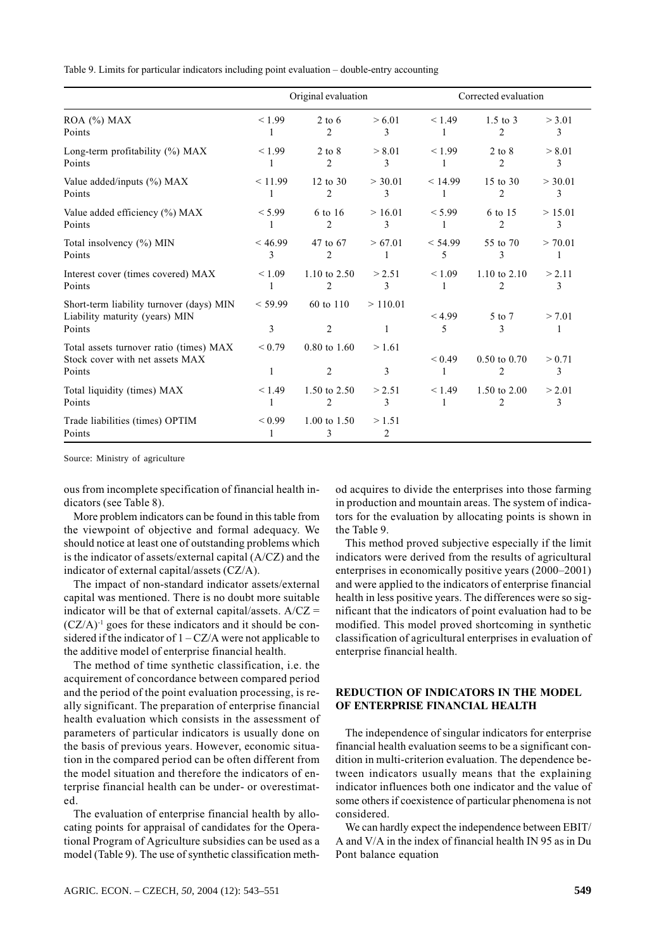Table 9. Limits for particular indicators including point evaluation - double-entry accounting

|                                                                                      |                    | Original evaluation              |              |                  | Corrected evaluation       |              |  |  |
|--------------------------------------------------------------------------------------|--------------------|----------------------------------|--------------|------------------|----------------------------|--------------|--|--|
| $ROA$ $%$ $MAX$<br>Points                                                            | < 1.99<br>1        | $2$ to 6<br>2                    | > 6.01<br>3  | < 1.49<br>1      | $1.5$ to $3$<br>2          | > 3.01<br>3  |  |  |
| Long-term profitability $(\%)$ MAX<br>Points                                         | < 1.99             | $2$ to $8$<br>2                  | > 8.01<br>3  | < 1.99<br>-1     | $2$ to $8$<br>2            | > 8.01<br>3  |  |  |
| Value added/inputs (%) MAX<br>Points                                                 | < 11.99            | $12$ to $30$<br>$\overline{2}$   | > 30.01<br>3 | < 14.99<br>1     | 15 to 30<br>$\overline{2}$ | > 30.01<br>3 |  |  |
| Value added efficiency (%) MAX<br>Points                                             | < 5.99             | 6 to 16<br>2                     | > 16.01<br>3 | < 5.99           | 6 to 15<br>2               | > 15.01<br>3 |  |  |
| Total insolvency (%) MIN<br>Points                                                   | < 46.99<br>3       | 47 to 67<br>2                    | > 67.01      | < 54.99<br>5     | 55 to 70<br>3              | > 70.01      |  |  |
| Interest cover (times covered) MAX<br>Points                                         | < 1.09<br>1        | 1.10 to $2.50$<br>$\overline{2}$ | > 2.51<br>3  | < 1.09<br>1      | 1.10 to $2.10$<br>2        | > 2.11<br>3  |  |  |
| Short-term liability turnover (days) MIN<br>Liability maturity (years) MIN<br>Points | < 59.99<br>3       | $60 \text{ to } 110$<br>2        | >110.01<br>1 | < 4.99<br>5      | 5 to 7<br>3                | > 7.01<br>1  |  |  |
| Total assets turnover ratio (times) MAX<br>Stock cover with net assets MAX<br>Points | ${}_{0.79}$<br>1   | $0.80 \text{ to } 1.60$<br>2     | >1.61<br>3   | ${}_{0.49}$<br>1 | $0.50$ to $0.70$<br>2      | > 0.71<br>3  |  |  |
| Total liquidity (times) MAX<br>Points                                                | < 1.49<br>1        | 1.50 to 2.50<br>$\overline{2}$   | > 2.51<br>3  | < 1.49<br>1      | 1.50 to $2.00$<br>2        | > 2.01<br>3  |  |  |
| Trade liabilities (times) OPTIM<br>Points                                            | ${}_{< 0.99}$<br>1 | 1.00 to $1.50$<br>3              | >1.51<br>2   |                  |                            |              |  |  |

Source: Ministry of agriculture

ous from incomplete specification of financial health indicators (see Table 8).

More problem indicators can be found in this table from the viewpoint of objective and formal adequacy. We should notice at least one of outstanding problems which is the indicator of assets/external capital  $(A/CZ)$  and the indicator of external capital/assets (CZ/A).

The impact of non-standard indicator assets/external capital was mentioned. There is no doubt more suitable indicator will be that of external capital/assets.  $A/CZ =$  $(CZ/A)^{-1}$  goes for these indicators and it should be considered if the indicator of  $1 - CZ/A$  were not applicable to the additive model of enterprise financial health.

The method of time synthetic classification, i.e. the acquirement of concordance between compared period and the period of the point evaluation processing, is really significant. The preparation of enterprise financial health evaluation which consists in the assessment of parameters of particular indicators is usually done on the basis of previous years. However, economic situation in the compared period can be often different from the model situation and therefore the indicators of enterprise financial health can be under- or overestimated.

The evaluation of enterprise financial health by allocating points for appraisal of candidates for the Operational Program of Agriculture subsidies can be used as a model (Table 9). The use of synthetic classification method acquires to divide the enterprises into those farming in production and mountain areas. The system of indicators for the evaluation by allocating points is shown in the Table 9.

This method proved subjective especially if the limit indicators were derived from the results of agricultural enterprises in economically positive years (2000–2001) and were applied to the indicators of enterprise financial health in less positive years. The differences were so significant that the indicators of point evaluation had to be modified. This model proved shortcoming in synthetic classification of agricultural enterprises in evaluation of enterprise financial health.

#### REDUCTION OF INDICATORS IN THE MODEL OF ENTERPRISE FINANCIAL HEALTH

The independence of singular indicators for enterprise financial health evaluation seems to be a significant condition in multi-criterion evaluation. The dependence between indicators usually means that the explaining indicator influences both one indicator and the value of some others if coexistence of particular phenomena is not considered.

We can hardly expect the independence between EBIT/ A and  $V/A$  in the index of financial health IN 95 as in Du Pont balance equation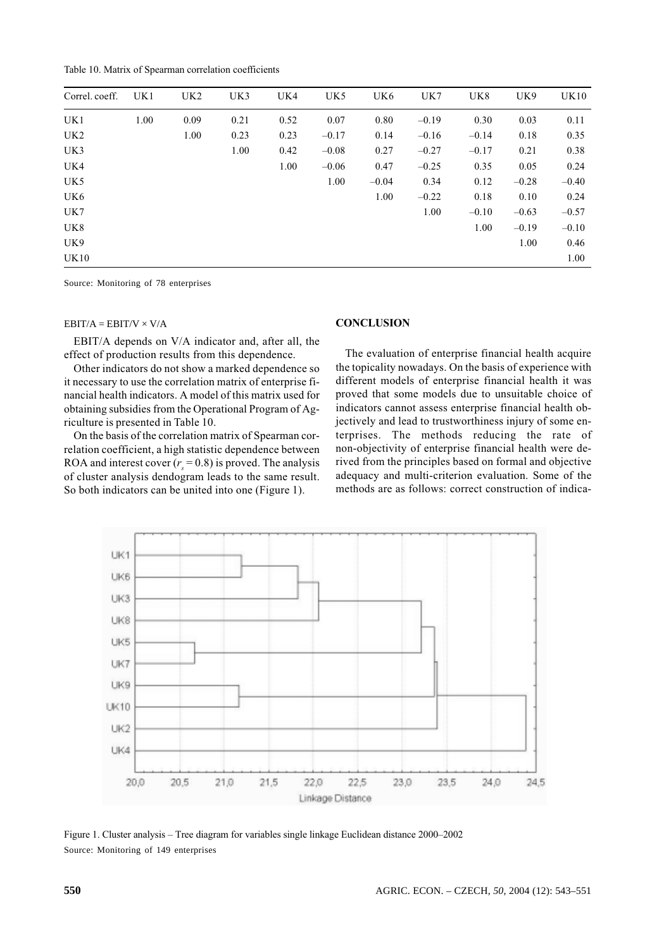Table 10. Matrix of Spearman correlation coefficients

| Correl. coeff.  | UK1  | UK <sub>2</sub> | UK3  | UK4  | UK5     | UK6     | UK7     | UK8     | UK9     | UK10    |
|-----------------|------|-----------------|------|------|---------|---------|---------|---------|---------|---------|
| UK1             | 1.00 | 0.09            | 0.21 | 0.52 | 0.07    | 0.80    | $-0.19$ | 0.30    | 0.03    | 0.11    |
| UK <sub>2</sub> |      | 1.00            | 0.23 | 0.23 | $-0.17$ | 0.14    | $-0.16$ | $-0.14$ | 0.18    | 0.35    |
| UK3             |      |                 | 1.00 | 0.42 | $-0.08$ | 0.27    | $-0.27$ | $-0.17$ | 0.21    | 0.38    |
| UK4             |      |                 |      | 1.00 | $-0.06$ | 0.47    | $-0.25$ | 0.35    | 0.05    | 0.24    |
| UK5             |      |                 |      |      | 1.00    | $-0.04$ | 0.34    | 0.12    | $-0.28$ | $-0.40$ |
| UK6             |      |                 |      |      |         | 1.00    | $-0.22$ | 0.18    | 0.10    | 0.24    |
| UK7             |      |                 |      |      |         |         | 1.00    | $-0.10$ | $-0.63$ | $-0.57$ |
| UK8             |      |                 |      |      |         |         |         | 1.00    | $-0.19$ | $-0.10$ |
| UK9             |      |                 |      |      |         |         |         |         | 1.00    | 0.46    |
| UK10            |      |                 |      |      |         |         |         |         |         | 1.00    |

Source: Monitoring of 78 enterprises

 $EBIT/A = EBIT/V \times V/A$ 

EBIT/A depends on  $V/A$  indicator and, after all, the effect of production results from this dependence.

Other indicators do not show a marked dependence so it necessary to use the correlation matrix of enterprise financial health indicators. A model of this matrix used for obtaining subsidies from the Operational Program of Agriculture is presented in Table 10.

On the basis of the correlation matrix of Spearman correlation coefficient, a high statistic dependence between ROA and interest cover  $(r<sub>s</sub> = 0.8)$  is proved. The analysis of cluster analysis dendogram leads to the same result. So both indicators can be united into one (Figure 1).

#### **CONCLUSION**

The evaluation of enterprise financial health acquire the topicality nowadays. On the basis of experience with different models of enterprise financial health it was proved that some models due to unsuitable choice of indicators cannot assess enterprise financial health objectively and lead to trustworthiness injury of some enterprises. The methods reducing the rate of non-objectivity of enterprise financial health were derived from the principles based on formal and objective adequacy and multi-criterion evaluation. Some of the methods are as follows: correct construction of indica-



Figure 1. Cluster analysis - Tree diagram for variables single linkage Euclidean distance 2000-2002 Source: Monitoring of 149 enterprises